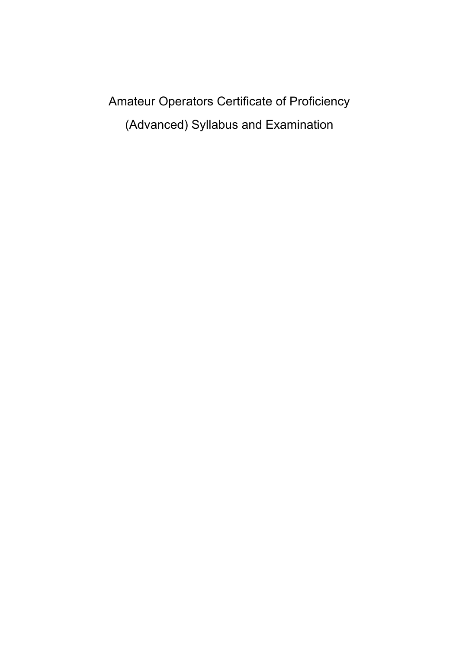Amateur Operators Certificate of Proficiency (Advanced) Syllabus and Examination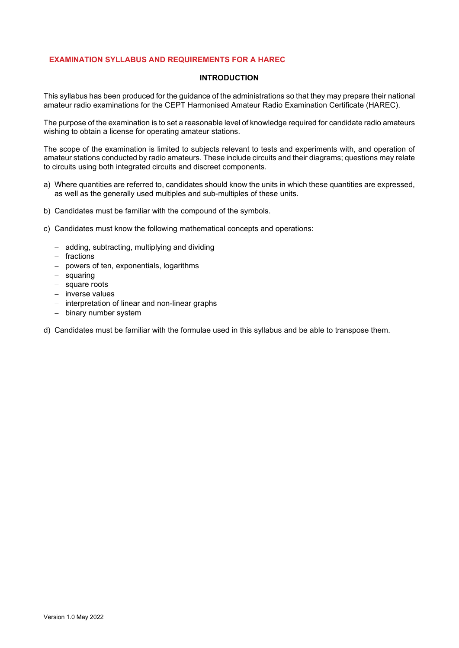# **EXAMINATION SYLLABUS AND REQUIREMENTS FOR A HAREC**

#### **INTRODUCTION**

This syllabus has been produced for the guidance of the administrations so that they may prepare their national amateur radio examinations for the CEPT Harmonised Amateur Radio Examination Certificate (HAREC).

The purpose of the examination is to set a reasonable level of knowledge required for candidate radio amateurs wishing to obtain a license for operating amateur stations.

The scope of the examination is limited to subjects relevant to tests and experiments with, and operation of amateur stations conducted by radio amateurs. These include circuits and their diagrams; questions may relate to circuits using both integrated circuits and discreet components.

- a) Where quantities are referred to, candidates should know the units in which these quantities are expressed, as well as the generally used multiples and sub-multiples of these units.
- b) Candidates must be familiar with the compound of the symbols.
- c) Candidates must know the following mathematical concepts and operations:
	- − adding, subtracting, multiplying and dividing
	- − fractions
	- − powers of ten, exponentials, logarithms
	- − squaring
	- − square roots
	- − inverse values
	- − interpretation of linear and non-linear graphs
	- − binary number system
- d) Candidates must be familiar with the formulae used in this syllabus and be able to transpose them.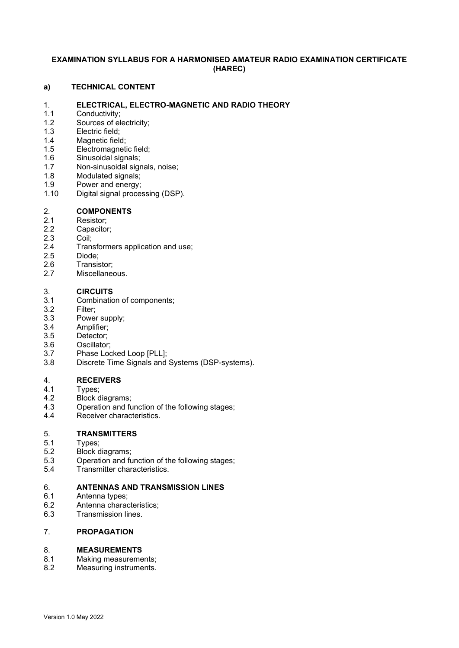# **EXAMINATION SYLLABUS FOR A HARMONISED AMATEUR RADIO EXAMINATION CERTIFICATE (HAREC)**

#### **a) TECHNICAL CONTENT**

# 1. **ELECTRICAL, ELECTRO-MAGNETIC AND RADIO THEORY**

- 1.1 Conductivity;<br>1.2 Sources of el
- 1.2 Sources of electricity;<br>1.3 Electric field;
- 1.3 Electric field;<br>1.4 Magnetic field
- 1.4 Magnetic field;<br>1.5 Electromagneti
- 1.5 Electromagnetic field;<br>1.6 Sinusoidal signals:
- 1.6 Sinusoidal signals;<br>1.7 Non-sinusoidal sign
- 1.7 Non-sinusoidal signals, noise;<br>1.8 Modulated signals:
- 1.8 Modulated signals;<br>1.9 Power and energy;
- 1.9 Power and energy;<br>1.10 Digital signal proce
- Digital signal processing (DSP).

# 2. **COMPONENTS**

- 2.1 Resistor;<br>2.2 Capacito
- 2.2 Capacitor;<br>2.3 Coil:
- 2.3 Coil;<br>2.4 Tran
- 2.4 Transformers application and use;<br>2.5 Diode:
- 2.5 Diode;<br>2.6 Transis
- 
- 2.6 Transistor;<br>2.7 Miscellane Miscellaneous.

# 3. **CIRCUITS**

- 3.1 Combination of components;<br>3.2 Filter:
- 3.2 Filter;<br>3.3 Power
- 3.3 Power supply;<br>3.4 Amplifier:
- 3.4 Amplifier;<br>3.5 Detector;
- Detector;
- 3.6 Oscillator;
- 3.7 Phase Locked Loop [PLL];
- 3.8 Discrete Time Signals and Systems (DSP-systems).

- 4. **RECEIVERS** Types;
- 4.2 Block diagrams;<br>4.3 Operation and fu
- 4.3 Operation and function of the following stages;<br>4.4 Receiver characteristics.
- Receiver characteristics.

# 5. **TRANSMITTERS**

- 5.1 Types;<br>5.2 Block o
- Block diagrams;
- 5.3 Operation and function of the following stages;<br>5.4 Transmitter characteristics.
- Transmitter characteristics.

# 6. **ANTENNAS AND TRANSMISSION LINES**

- 6.1 Antenna types;
- 6.2 Antenna characteristics;
- 6.3 Transmission lines.

# 7. **PROPAGATION**

#### 8. **MEASUREMENTS**

- 8.1 Making measurements;
- 8.2 Measuring instruments.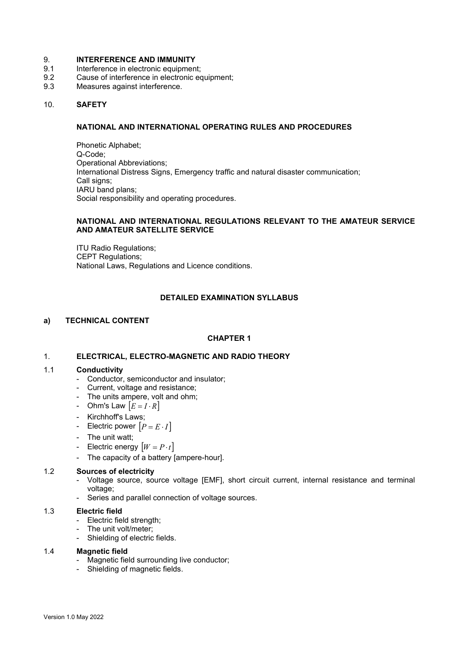# 9. **INTERFERENCE AND IMMUNITY**

- 9.1 Interference in electronic equipment;<br>9.2 Cause of interference in electronic equipment
- 9.2 Cause of interference in electronic equipment;<br>9.3 Measures against interference.
- Measures against interference.

#### 10. **SAFETY**

#### **NATIONAL AND INTERNATIONAL OPERATING RULES AND PROCEDURES**

Phonetic Alphabet; Q-Code; Operational Abbreviations; International Distress Signs, Emergency traffic and natural disaster communication; Call signs; IARU band plans; Social responsibility and operating procedures.

#### **NATIONAL AND INTERNATIONAL REGULATIONS RELEVANT TO THE AMATEUR SERVICE AND AMATEUR SATELLITE SERVICE**

ITU Radio Regulations; CEPT Regulations; National Laws, Regulations and Licence conditions.

### **DETAILED EXAMINATION SYLLABUS**

#### **a) TECHNICAL CONTENT**

#### **CHAPTER 1**

#### 1. **ELECTRICAL, ELECTRO-MAGNETIC AND RADIO THEORY**

#### 1.1 **Conductivity**

- Conductor, semiconductor and insulator;
- Current, voltage and resistance;
- The units ampere, volt and ohm;
- Ohm's Law [*E* = *I* ⋅ *R*]
- Kirchhoff's Laws;
- Electric power  $[P = E \cdot I]$
- The unit watt;
- Electric energy  $[W = P \cdot t]$
- The capacity of a battery [ampere-hour].

#### 1.2 **Sources of electricity**

- Voltage source, source voltage [EMF], short circuit current, internal resistance and terminal voltage;
- Series and parallel connection of voltage sources.

#### 1.3 **Electric field**

- Electric field strength;
- The unit volt/meter;
- Shielding of electric fields.

#### 1.4 **Magnetic field**

- Magnetic field surrounding live conductor;
- Shielding of magnetic fields.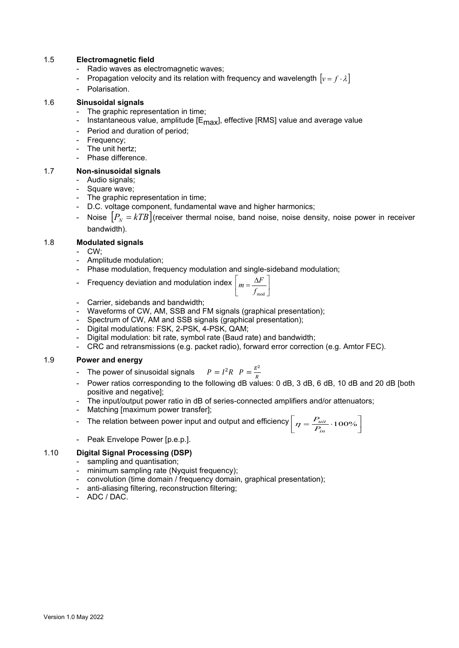# 1.5 **Electromagnetic field**

- Radio waves as electromagnetic waves;
- Propagation velocity and its relation with frequency and wavelength  $[v = f \cdot \lambda]$
- Polarisation.

# 1.6 **Sinusoidal signals**

- The graphic representation in time;
- Instantaneous value, amplitude  $[E_{max}]$ , effective [RMS] value and average value
- Period and duration of period;
- Frequency;
- The unit hertz:
- Phase difference.

### 1.7 **Non-sinusoidal signals**

- Audio signals;
- Square wave;
- The graphic representation in time;
- D.C. voltage component, fundamental wave and higher harmonics;
- Noise  $[P_{N} = kTB]$  (receiver thermal noise, band noise, noise density, noise power in receiver bandwidth).

1.8 **Modulated signals**

### CW;

- Amplitude modulation;
- Phase modulation, frequency modulation and single-sideband modulation;
- Frequency deviation and modulation inde

$$
\mathbf{X} \mid m = \frac{\Delta F}{f_{\text{mod}}}
$$

- Carrier, sidebands and bandwidth;
- Waveforms of CW, AM, SSB and FM signals (graphical presentation);
- Spectrum of CW, AM and SSB signals (graphical presentation);
- Digital modulations: FSK, 2-PSK, 4-PSK, QAM;
- Digital modulation: bit rate, symbol rate (Baud rate) and bandwidth;
- CRC and retransmissions (e.g. packet radio), forward error correction (e.g. Amtor FEC).

#### 1.9 **Power and energy**

- The power of sinusoidal signals  $P = I^2 R$   $P = \frac{E^2}{R}$
- Power ratios corresponding to the following dB values: 0 dB, 3 dB, 6 dB, 10 dB and 20 dB [both positive and negative];
- The input/output power ratio in dB of series-connected amplifiers and/or attenuators;
- Matching [maximum power transfer];
- The relation between power input and output and efficiency  $\left[\eta = \frac{P_{uit}}{P_{in}} \cdot 100\% \right]$  $\left[\eta = \frac{P_{uit}}{P_{in}} \cdot 100\% \right]$ *uit P*  $p = \frac{P}{I}$
- Peak Envelope Power [p.e.p.].

# 1.10 **Digital Signal Processing (DSP)**

- sampling and quantisation;
- minimum sampling rate (Nyquist frequency);
- convolution (time domain / frequency domain, graphical presentation);
- anti-aliasing filtering, reconstruction filtering;
- ADC / DAC.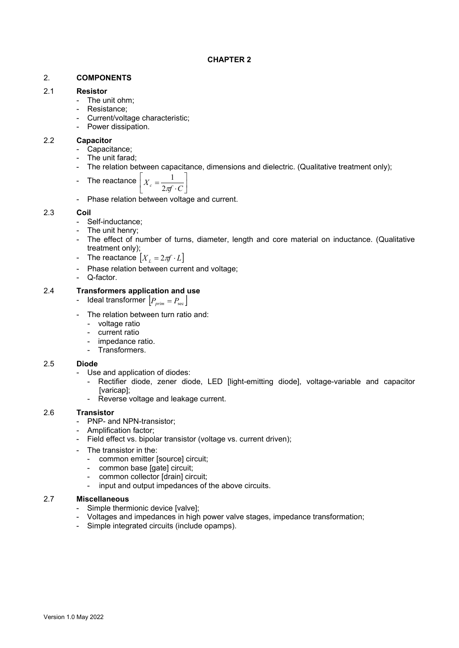# 2. **COMPONENTS**

# 2.1 **Resistor**

- The unit ohm;
- Resistance;
- Current/voltage characteristic;
- Power dissipation.

# 2.2 **Capacitor**

- Capacitance;
- The unit farad:
- The relation between capacitance, dimensions and dielectric. (Qualitative treatment only);

- The reactance 
$$
\left[ X_c = \frac{1}{2\pi f \cdot C} \right]
$$

- Phase relation between voltage and current.

# 2.3 **Coil**

- Self-inductance;
- The unit henry;
- The effect of number of turns, diameter, length and core material on inductance. (Qualitative treatment only);
- The reactance  $\left[ X_{L}=2\pi f\cdot L\right]$
- Phase relation between current and voltage;
- Q-factor.

# 2.4 **Transformers application and use**

- Ideal transformer  $\left| P_{\text{prim}} = P_{\text{sec}} \right|$
- The relation between turn ratio and:
	- voltage ratio
	- current ratio
	- impedance ratio.
	- Transformers.

# 2.5 **Diode**

- Use and application of diodes:
	- Rectifier diode, zener diode, LED [light-emitting diode], voltage-variable and capacitor [varicap];
	- Reverse voltage and leakage current.

# 2.6 **Transistor**

- PNP- and NPN-transistor;
- Amplification factor;
- Field effect vs. bipolar transistor (voltage vs. current driven);
- The transistor in the:
	- common emitter [source] circuit;
	- common base [gate] circuit;
	- common collector [drain] circuit;
	- input and output impedances of the above circuits.

# 2.7 **Miscellaneous**

- Simple thermionic device [valve];
- Voltages and impedances in high power valve stages, impedance transformation;
- Simple integrated circuits (include opamps).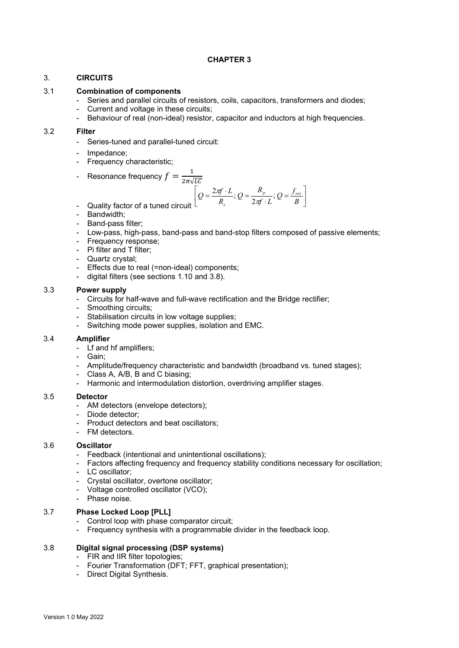# 3. **CIRCUITS**

# 3.1 **Combination of components**

- Series and parallel circuits of resistors, coils, capacitors, transformers and diodes;
- Current and voltage in these circuits;
- Behaviour of real (non-ideal) resistor, capacitor and inductors at high frequencies.

#### 3.2 **Filter**

- Series-tuned and parallel-tuned circuit:
- Impedance;
- Frequency characteristic;
- Resonance frequency  $f = \frac{1}{2\pi\sqrt{LC}}$

$$
Q = \frac{2\pi f \cdot L}{R_s}; Q = \frac{R_p}{2\pi f \cdot L}; Q = \frac{f_{res}}{B}
$$

- Quality factor of a tuned circui
- Bandwidth;
- Band-pass filter;
- Low-pass, high-pass, band-pass and band-stop filters composed of passive elements;
- Frequency response;
- Pi filter and T filter;
- Quartz crystal;
- Effects due to real (=non-ideal) components;
- digital filters (see sections 1.10 and 3.8).

### 3.3 **Power supply**

- Circuits for half-wave and full-wave rectification and the Bridge rectifier;
- Smoothing circuits;
- Stabilisation circuits in low voltage supplies;
- Switching mode power supplies, isolation and EMC.

#### 3.4 **Amplifier**

- Lf and hf amplifiers;
- Gain;
- Amplitude/frequency characteristic and bandwidth (broadband vs. tuned stages);
- Class A, A/B, B and C biasing;
- Harmonic and intermodulation distortion, overdriving amplifier stages.

#### 3.5 **Detector**

- AM detectors (envelope detectors);
- Diode detector;
- Product detectors and beat oscillators;
- FM detectors.

# 3.6 **Oscillator**

- Feedback (intentional and unintentional oscillations);
- Factors affecting frequency and frequency stability conditions necessary for oscillation;
- LC oscillator;
- Crystal oscillator, overtone oscillator;
- Voltage controlled oscillator (VCO);
- Phase noise.

# 3.7 **Phase Locked Loop [PLL]**

- Control loop with phase comparator circuit;
- Frequency synthesis with a programmable divider in the feedback loop.

# 3.8 **Digital signal processing (DSP systems)**

- FIR and IIR filter topologies;
- Fourier Transformation (DFT; FFT, graphical presentation);
- Direct Digital Synthesis.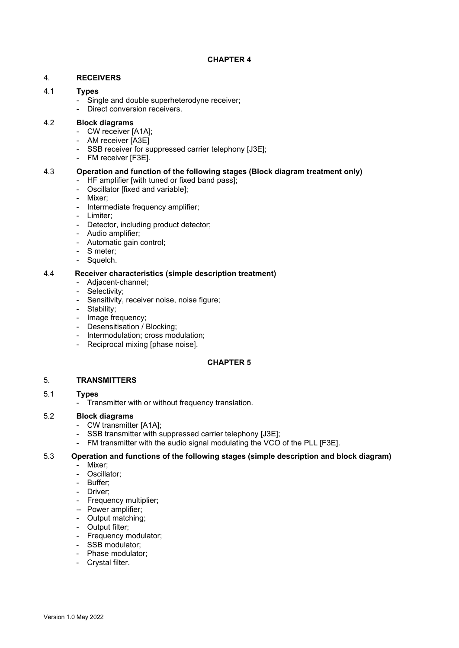# 4. **RECEIVERS**

# 4.1 **Types**

- Single and double superheterodyne receiver;
- Direct conversion receivers.

### 4.2 **Block diagrams**

- CW receiver [A1A];
- AM receiver [A3E]
- SSB receiver for suppressed carrier telephony [J3E];
- FM receiver [F3E].

# 4.3 **Operation and function of the following stages (Block diagram treatment only)**

- HF amplifier [with tuned or fixed band pass];
- Oscillator [fixed and variable];
- Mixer;
- Intermediate frequency amplifier;
- Limiter;
- Detector, including product detector;
- Audio amplifier;
- Automatic gain control;
- S meter;
- Squelch.

# 4.4 **Receiver characteristics (simple description treatment)**

- Adjacent-channel;
- Selectivity;
- Sensitivity, receiver noise, noise figure;
- Stability;
- Image frequency;
- Desensitisation / Blocking;
- Intermodulation; cross modulation;
- Reciprocal mixing [phase noise].

# **CHAPTER 5**

# 5. **TRANSMITTERS**

#### 5.1 **Types**

- Transmitter with or without frequency translation.

# 5.2 **Block diagrams**

- CW transmitter [A1A];
- SSB transmitter with suppressed carrier telephony [J3E];
- FM transmitter with the audio signal modulating the VCO of the PLL [F3E].

# 5.3 **Operation and functions of the following stages (simple description and block diagram)**

- Mixer;
- Oscillator;
- Buffer;
- Driver;
- Frequency multiplier;
- -- Power amplifier;
- Output matching;
- Output filter;
- Frequency modulator;
- SSB modulator;
- Phase modulator;
- Crystal filter.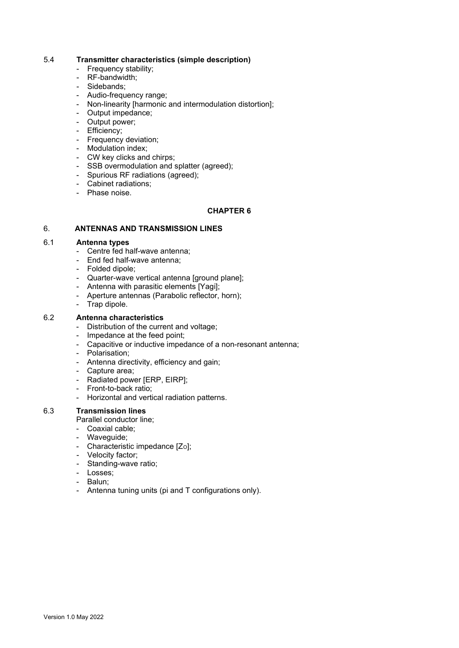#### 5.4 **Transmitter characteristics (simple description)**

- Frequency stability;
- RF-bandwidth;
- Sidebands;
- Audio-frequency range;
- Non-linearity [harmonic and intermodulation distortion];
- Output impedance;
- Output power;
- Efficiency;
- Frequency deviation;
- Modulation index;
- CW key clicks and chirps;
- SSB overmodulation and splatter (agreed);
- Spurious RF radiations (agreed);
- Cabinet radiations;
- Phase noise.

### **CHAPTER 6**

# 6. **ANTENNAS AND TRANSMISSION LINES**

# 6.1 **Antenna types**

- Centre fed half-wave antenna;
- End fed half-wave antenna;
- Folded dipole;
- Quarter-wave vertical antenna [ground plane];
- Antenna with parasitic elements [Yagi];
- Aperture antennas (Parabolic reflector, horn);
- Trap dipole.

# 6.2 **Antenna characteristics**

- Distribution of the current and voltage;
- Impedance at the feed point;
- Capacitive or inductive impedance of a non-resonant antenna;
- Polarisation;
- Antenna directivity, efficiency and gain;
- Capture area;
- Radiated power [ERP, EIRP];
- Front-to-back ratio;
- Horizontal and vertical radiation patterns.

# 6.3 **Transmission lines**

Parallel conductor line;

- Coaxial cable;
- Waveguide;
- Characteristic impedance  $[Z<sub>O</sub>]$ ;
- Velocity factor;
- Standing-wave ratio;
- Losses;
- Balun;
- Antenna tuning units (pi and T configurations only).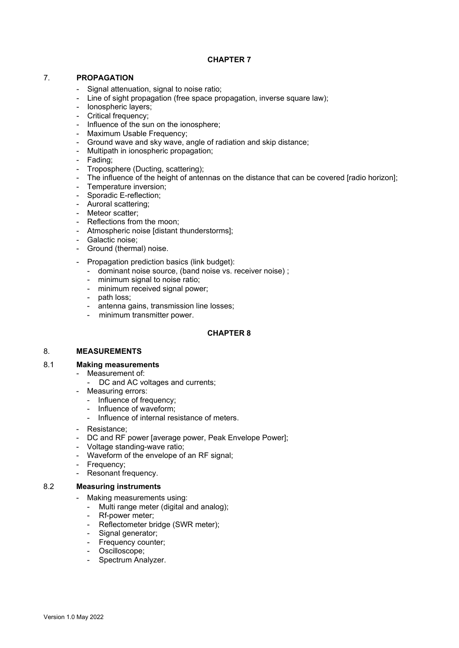# 7. **PROPAGATION**

- Signal attenuation, signal to noise ratio;
- Line of sight propagation (free space propagation, inverse square law);
- Ionospheric layers;
- Critical frequency;
- Influence of the sun on the ionosphere;
- Maximum Usable Frequency;
- Ground wave and sky wave, angle of radiation and skip distance;
- Multipath in ionospheric propagation;
- Fading;
- Troposphere (Ducting, scattering);
- The influence of the height of antennas on the distance that can be covered [radio horizon];
- Temperature inversion;
- Sporadic E-reflection;
- Auroral scattering;
- Meteor scatter;
- Reflections from the moon;
- Atmospheric noise [distant thunderstorms];
- Galactic noise;
- Ground (thermal) noise.
- Propagation prediction basics (link budget):
	- dominant noise source, (band noise vs. receiver noise) ;
	- minimum signal to noise ratio;
	- minimum received signal power;
	- path loss;
	- antenna gains, transmission line losses;
	- minimum transmitter power.

#### **CHAPTER 8**

#### 8. **MEASUREMENTS**

#### 8.1 **Making measurements**

- Measurement of:
	- DC and AC voltages and currents;
	- Measuring errors:
		- Influence of frequency;
		- Influence of waveform:
		- Influence of internal resistance of meters.
	- Resistance;
	- DC and RF power [average power, Peak Envelope Power];
	- Voltage standing-wave ratio;
- Waveform of the envelope of an RF signal;
- Frequency;
- Resonant frequency.

#### 8.2 **Measuring instruments**

- Making measurements using:
	- Multi range meter (digital and analog);
	- Rf-power meter;
	- Reflectometer bridge (SWR meter);
	- Signal generator;
	- Frequency counter;
	- Oscilloscope;
	- Spectrum Analyzer.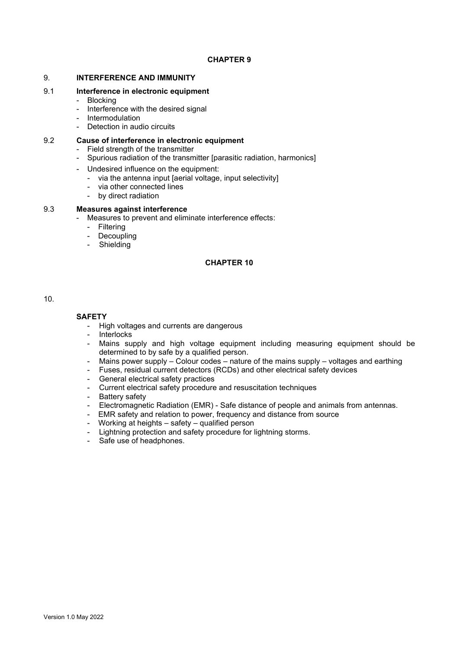#### 9. **INTERFERENCE AND IMMUNITY**

#### 9.1 **Interference in electronic equipment**

- Blocking
- Interference with the desired signal
- Intermodulation
- Detection in audio circuits

#### 9.2 **Cause of interference in electronic equipment**

- Field strength of the transmitter
- Spurious radiation of the transmitter [parasitic radiation, harmonics]
- Undesired influence on the equipment:
	- via the antenna input [aerial voltage, input selectivity]
	- via other connected lines
	- by direct radiation

#### 9.3 **Measures against interference**

- Measures to prevent and eliminate interference effects:
	- Filtering
	- Decoupling
	- Shielding

# **CHAPTER 10**

10.

# **SAFETY**

- High voltages and currents are dangerous
- Interlocks
- Mains supply and high voltage equipment including measuring equipment should be determined to by safe by a qualified person.
- Mains power supply Colour codes nature of the mains supply voltages and earthing<br>- Fuses, residual current detectors (RCDs) and other electrical safety devices
- Fuses, residual current detectors (RCDs) and other electrical safety devices
- General electrical safety practices
- Current electrical safety procedure and resuscitation techniques
- Battery safety
- Electromagnetic Radiation (EMR) Safe distance of people and animals from antennas.
- EMR safety and relation to power, frequency and distance from source
- Working at heights safety qualified person
- Lightning protection and safety procedure for lightning storms.
- Safe use of headphones.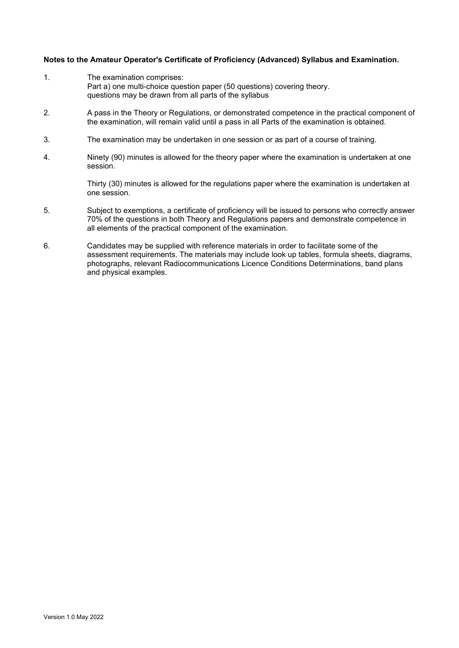### **Notes to the Amateur Operator's Certificate of Proficiency (Advanced) Syllabus and Examination.**

- 1. The examination comprises: Part a) one multi-choice question paper (50 questions) covering theory. questions may be drawn from all parts of the syllabus
- 2. A pass in the Theory or Regulations, or demonstrated competence in the practical component of the examination, will remain valid until a pass in all Parts of the examination is obtained.
- 3. The examination may be undertaken in one session or as part of a course of training.
- 4. Ninety (90) minutes is allowed for the theory paper where the examination is undertaken at one session.

Thirty (30) minutes is allowed for the regulations paper where the examination is undertaken at one session.

- 5. Subject to exemptions, a certificate of proficiency will be issued to persons who correctly answer 70% of the questions in both Theory and Regulations papers and demonstrate competence in all elements of the practical component of the examination.
- 6. Candidates may be supplied with reference materials in order to facilitate some of the assessment requirements. The materials may include look up tables, formula sheets, diagrams, photographs, relevant Radiocommunications Licence Conditions Determinations, band plans and physical examples.